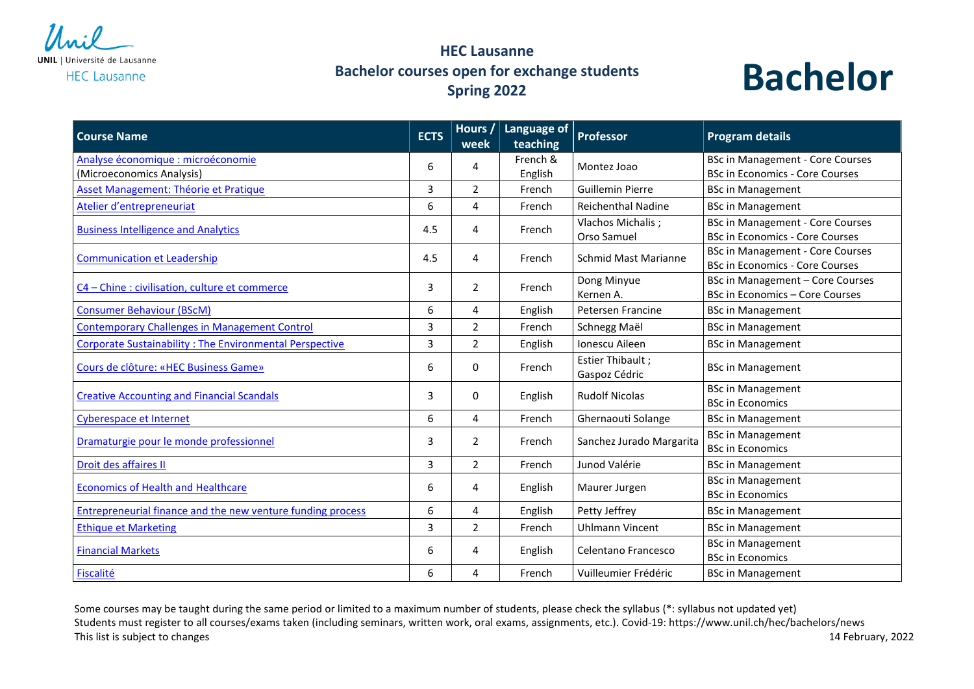

## **HEC Lausanne Bachelor courses open for exchange students Spring 2022**



| <b>Course Name</b>                                                 | <b>ECTS</b> | Hours /<br>week | Language of<br>teaching | <b>Professor</b>                  | <b>Program details</b>                  |
|--------------------------------------------------------------------|-------------|-----------------|-------------------------|-----------------------------------|-----------------------------------------|
| Analyse économique : microéconomie                                 | 6           | 4               | French &                | Montez Joao                       | <b>BSc in Management - Core Courses</b> |
| (Microeconomics Analysis)                                          |             |                 | English                 |                                   | <b>BSc in Economics - Core Courses</b>  |
| Asset Management: Théorie et Pratique                              | 3           | $\overline{2}$  | French                  | <b>Guillemin Pierre</b>           | <b>BSc in Management</b>                |
| Atelier d'entrepreneuriat                                          | 6           | 4               | French                  | <b>Reichenthal Nadine</b>         | <b>BSc in Management</b>                |
| <b>Business Intelligence and Analytics</b>                         | 4.5         | 4               | French                  | Vlachos Michalis;                 | <b>BSc in Management - Core Courses</b> |
|                                                                    |             |                 |                         | Orso Samuel                       | <b>BSc in Economics - Core Courses</b>  |
| <b>Communication et Leadership</b>                                 | 4.5         | 4               | French                  | <b>Schmid Mast Marianne</b>       | <b>BSc in Management - Core Courses</b> |
|                                                                    |             |                 |                         |                                   | <b>BSc in Economics - Core Courses</b>  |
| C4 - Chine : civilisation, culture et commerce                     | 3           | $\overline{2}$  | French                  | Dong Minyue                       | <b>BSc in Management - Core Courses</b> |
|                                                                    |             |                 |                         | Kernen A.                         | <b>BSc in Economics - Core Courses</b>  |
| <b>Consumer Behaviour (BScM)</b>                                   | 6           | 4               | English                 | Petersen Francine                 | <b>BSc in Management</b>                |
| <b>Contemporary Challenges in Management Control</b>               | 3           | $\overline{2}$  | French                  | Schnegg Maël                      | <b>BSc in Management</b>                |
| Corporate Sustainability: The Environmental Perspective            | 3           | $\overline{2}$  | English                 | Ionescu Aileen                    | <b>BSc in Management</b>                |
| Cours de clôture: «HEC Business Game»                              | 6           | 0               | French                  | Estier Thibault;<br>Gaspoz Cédric | <b>BSc in Management</b>                |
| <b>Creative Accounting and Financial Scandals</b>                  | 3           | 0               | English                 | <b>Rudolf Nicolas</b>             | <b>BSc in Management</b>                |
|                                                                    |             |                 |                         |                                   | <b>BSc in Economics</b>                 |
| Cyberespace et Internet                                            | 6           | 4               | French                  | Ghernaouti Solange                | <b>BSc in Management</b>                |
| Dramaturgie pour le monde professionnel                            | 3           | 2               | French                  | Sanchez Jurado Margarita          | <b>BSc in Management</b>                |
|                                                                    |             |                 |                         |                                   | <b>BSc in Economics</b>                 |
| Droit des affaires II                                              | 3           | $\overline{2}$  | French                  | Junod Valérie                     | <b>BSc in Management</b>                |
| <b>Economics of Health and Healthcare</b>                          | 6           | 4               | English                 | Maurer Jurgen                     | <b>BSc in Management</b>                |
|                                                                    |             |                 |                         |                                   | <b>BSc in Economics</b>                 |
| <b>Entrepreneurial finance and the new venture funding process</b> | 6           | 4               | English                 | Petty Jeffrey                     | <b>BSc in Management</b>                |
| <b>Ethique et Marketing</b>                                        | 3           | $\overline{2}$  | French                  | <b>Uhlmann Vincent</b>            | <b>BSc in Management</b>                |
| <b>Financial Markets</b>                                           | 6           | 4               | English                 | Celentano Francesco               | <b>BSc in Management</b>                |
|                                                                    |             |                 |                         |                                   | <b>BSc in Economics</b>                 |
| Fiscalité                                                          | 6           | 4               | French                  | Vuilleumier Frédéric              | <b>BSc in Management</b>                |

Some courses may be taught during the same period or limited to a maximum number of students, please check the syllabus (\*: syllabus not updated yet) Students must register to all courses/exams taken (including seminars, written work, oral exams, assignments, etc.). Covid-19: https://www.unil.ch/hec/bachelors/news This list is subject to changes 2022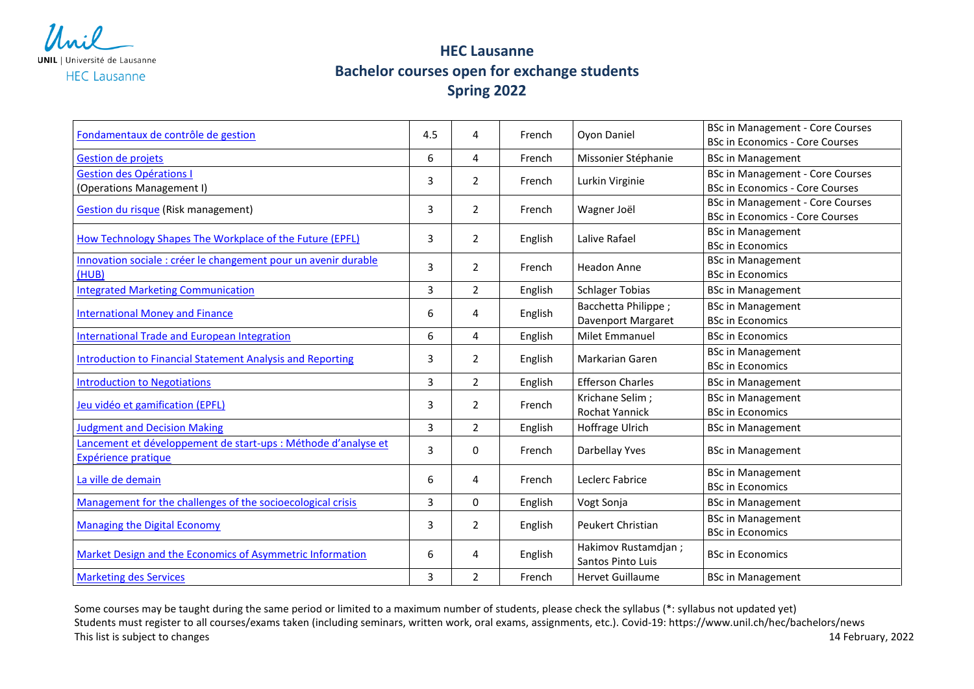

## **HEC Lausanne Bachelor courses open for exchange students Spring 2022**

| Fondamentaux de contrôle de gestion                                                   | 4.5 | 4              | French  | Oyon Daniel                               | <b>BSc in Management - Core Courses</b><br><b>BSc in Economics - Core Courses</b> |
|---------------------------------------------------------------------------------------|-----|----------------|---------|-------------------------------------------|-----------------------------------------------------------------------------------|
| <b>Gestion de projets</b>                                                             | 6   | 4              | French  | Missonier Stéphanie                       | <b>BSc in Management</b>                                                          |
| <b>Gestion des Opérations I</b><br>(Operations Management I)                          | 3   | $\overline{2}$ | French  | Lurkin Virginie                           | <b>BSc in Management - Core Courses</b><br><b>BSc in Economics - Core Courses</b> |
| <b>Gestion du risque (Risk management)</b>                                            | 3   | 2              | French  | Wagner Joël                               | <b>BSc in Management - Core Courses</b><br><b>BSc in Economics - Core Courses</b> |
| How Technology Shapes The Workplace of the Future (EPFL)                              | 3   | $\overline{2}$ | English | Lalive Rafael                             | <b>BSc in Management</b><br><b>BSc in Economics</b>                               |
| Innovation sociale : créer le changement pour un avenir durable<br>(HUB)              | 3   | 2              | French  | <b>Headon Anne</b>                        | <b>BSc in Management</b><br><b>BSc in Economics</b>                               |
| <b>Integrated Marketing Communication</b>                                             | 3   | 2              | English | <b>Schlager Tobias</b>                    | <b>BSc in Management</b>                                                          |
| <b>International Money and Finance</b>                                                | 6   | 4              | English | Bacchetta Philippe;<br>Davenport Margaret | <b>BSc in Management</b><br><b>BSc in Economics</b>                               |
| <b>International Trade and European Integration</b>                                   | 6   | $\overline{4}$ | English | Milet Emmanuel                            | <b>BSc in Economics</b>                                                           |
| <b>Introduction to Financial Statement Analysis and Reporting</b>                     | 3   | $\overline{2}$ | English | <b>Markarian Garen</b>                    | <b>BSc in Management</b><br><b>BSc in Economics</b>                               |
| <b>Introduction to Negotiations</b>                                                   | 3   | $\overline{2}$ | English | <b>Efferson Charles</b>                   | <b>BSc in Management</b>                                                          |
| Jeu vidéo et gamification (EPFL)                                                      | 3   | 2              | French  | Krichane Selim;<br><b>Rochat Yannick</b>  | <b>BSc in Management</b><br><b>BSc in Economics</b>                               |
| <b>Judgment and Decision Making</b>                                                   | 3   | 2              | English | Hoffrage Ulrich                           | <b>BSc in Management</b>                                                          |
| Lancement et développement de start-ups : Méthode d'analyse et<br>Expérience pratique | 3   | 0              | French  | Darbellay Yves                            | <b>BSc in Management</b>                                                          |
| La ville de demain                                                                    | 6   | 4              | French  | Leclerc Fabrice                           | <b>BSc in Management</b><br><b>BSc in Economics</b>                               |
| Management for the challenges of the socioecological crisis                           | 3   | 0              | English | Vogt Sonja                                | <b>BSc in Management</b>                                                          |
| <b>Managing the Digital Economy</b>                                                   | 3   | 2              | English | <b>Peukert Christian</b>                  | <b>BSc in Management</b><br><b>BSc in Economics</b>                               |
| Market Design and the Economics of Asymmetric Information                             | 6   | 4              | English | Hakimov Rustamdjan;<br>Santos Pinto Luis  | <b>BSc in Economics</b>                                                           |
| <b>Marketing des Services</b>                                                         | 3   | $\overline{2}$ | French  | <b>Hervet Guillaume</b>                   | <b>BSc in Management</b>                                                          |

Some courses may be taught during the same period or limited to a maximum number of students, please check the syllabus (\*: syllabus not updated yet) Students must register to all courses/exams taken (including seminars, written work, oral exams, assignments, etc.). Covid-19: https://www.unil.ch/hec/bachelors/news This list is subject to changes 2022